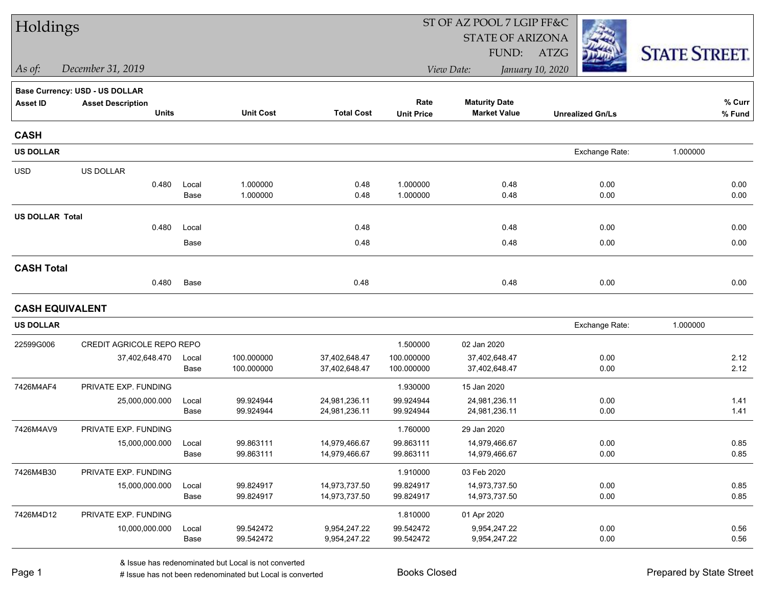| Holdings               |                                       |               |                        |                                |                        | ST OF AZ POOL 7 LGIP FF&C      |                         |                      |  |
|------------------------|---------------------------------------|---------------|------------------------|--------------------------------|------------------------|--------------------------------|-------------------------|----------------------|--|
|                        |                                       |               |                        |                                |                        | <b>STATE OF ARIZONA</b>        |                         |                      |  |
|                        |                                       |               |                        |                                |                        | FUND:                          | ATZG                    | <b>STATE STREET.</b> |  |
| $\vert$ As of:         | December 31, 2019                     |               |                        |                                |                        | View Date:                     | January 10, 2020        |                      |  |
|                        | <b>Base Currency: USD - US DOLLAR</b> |               |                        |                                |                        |                                |                         |                      |  |
| <b>Asset ID</b>        | <b>Asset Description</b>              |               |                        |                                | Rate                   | <b>Maturity Date</b>           |                         | % Curr               |  |
|                        | <b>Units</b>                          |               | <b>Unit Cost</b>       | <b>Total Cost</b>              | <b>Unit Price</b>      | <b>Market Value</b>            | <b>Unrealized Gn/Ls</b> | % Fund               |  |
| <b>CASH</b>            |                                       |               |                        |                                |                        |                                |                         |                      |  |
| <b>US DOLLAR</b>       |                                       |               |                        |                                |                        |                                | Exchange Rate:          | 1.000000             |  |
| <b>USD</b>             | US DOLLAR                             |               |                        |                                |                        |                                |                         |                      |  |
|                        | 0.480                                 | Local         | 1.000000               | 0.48                           | 1.000000               | 0.48                           | 0.00                    | 0.00                 |  |
|                        |                                       | Base          | 1.000000               | 0.48                           | 1.000000               | 0.48                           | 0.00                    | 0.00                 |  |
| <b>US DOLLAR Total</b> |                                       |               |                        |                                |                        |                                |                         |                      |  |
|                        | 0.480                                 | Local         |                        | 0.48                           |                        | 0.48                           | 0.00                    | 0.00                 |  |
|                        |                                       | Base          |                        | 0.48                           |                        | 0.48                           | 0.00                    | 0.00                 |  |
| <b>CASH Total</b>      |                                       |               |                        |                                |                        |                                |                         |                      |  |
|                        | 0.480                                 | Base          |                        | 0.48                           |                        | 0.48                           | 0.00                    | 0.00                 |  |
|                        | <b>CASH EQUIVALENT</b>                |               |                        |                                |                        |                                |                         |                      |  |
| <b>US DOLLAR</b>       |                                       |               |                        |                                |                        |                                | Exchange Rate:          | 1.000000             |  |
| 22599G006              | CREDIT AGRICOLE REPO REPO             |               |                        |                                | 1.500000               | 02 Jan 2020                    |                         |                      |  |
|                        | 37,402,648.470                        | Local         | 100.000000             | 37,402,648.47                  | 100.000000             | 37,402,648.47                  | 0.00                    | 2.12                 |  |
|                        |                                       | Base          | 100.000000             | 37,402,648.47                  | 100.000000             | 37,402,648.47                  | 0.00                    | 2.12                 |  |
| 7426M4AF4              | PRIVATE EXP. FUNDING                  |               |                        |                                | 1.930000               | 15 Jan 2020                    |                         |                      |  |
|                        | 25,000,000.000                        | Local         | 99.924944              | 24,981,236.11                  | 99.924944              | 24,981,236.11                  | 0.00                    | 1.41                 |  |
|                        |                                       | Base          | 99.924944              | 24,981,236.11                  | 99.924944              | 24,981,236.11                  | 0.00                    | 1.41                 |  |
| 7426M4AV9              | PRIVATE EXP. FUNDING                  |               |                        |                                | 1.760000               | 29 Jan 2020                    |                         |                      |  |
|                        | 15,000,000.000                        | Local<br>Base | 99.863111<br>99.863111 | 14,979,466.67<br>14,979,466.67 | 99.863111<br>99.863111 | 14,979,466.67<br>14,979,466.67 | 0.00<br>0.00            | 0.85<br>0.85         |  |
|                        |                                       |               |                        |                                |                        |                                |                         |                      |  |
| 7426M4B30              | PRIVATE EXP. FUNDING                  |               |                        |                                | 1.910000               | 03 Feb 2020                    |                         |                      |  |
|                        | 15,000,000.000                        | Local<br>Base | 99.824917<br>99.824917 | 14,973,737.50<br>14,973,737.50 | 99.824917<br>99.824917 | 14,973,737.50<br>14,973,737.50 | 0.00<br>0.00            | 0.85<br>0.85         |  |
| 7426M4D12              | PRIVATE EXP. FUNDING                  |               |                        |                                | 1.810000               | 01 Apr 2020                    |                         |                      |  |
|                        | 10,000,000.000                        | Local         | 99.542472              | 9,954,247.22                   | 99.542472              | 9,954,247.22                   | 0.00                    | 0.56                 |  |
|                        |                                       | Base          | 99.542472              | 9,954,247.22                   | 99.542472              | 9,954,247.22                   | 0.00                    | 0.56                 |  |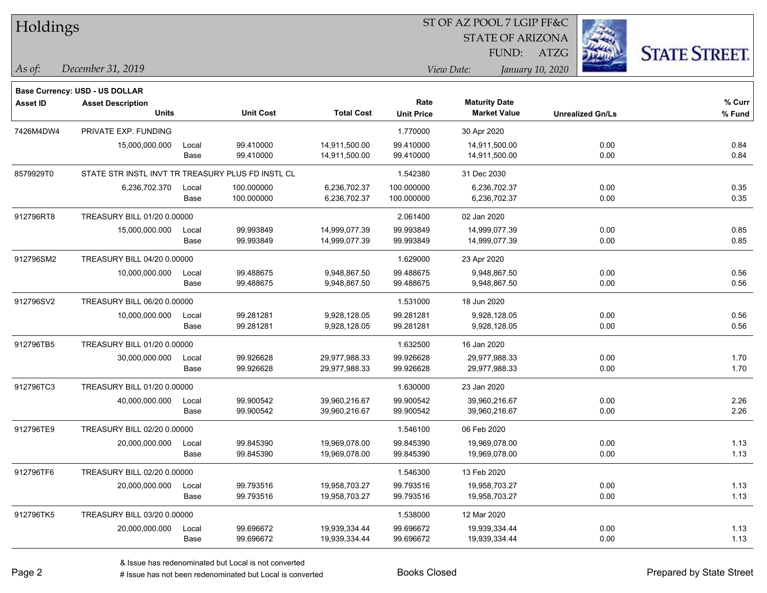| Holdings        |                                                   |       |                  |                   | ST OF AZ POOL 7 LGIP FF&C |                                             |                         |                      |  |  |
|-----------------|---------------------------------------------------|-------|------------------|-------------------|---------------------------|---------------------------------------------|-------------------------|----------------------|--|--|
|                 |                                                   |       |                  |                   |                           | <b>STATE OF ARIZONA</b>                     |                         |                      |  |  |
|                 |                                                   |       |                  |                   |                           | FUND:                                       | ATZG                    | <b>STATE STREET.</b> |  |  |
| As of:          | December 31, 2019                                 |       |                  |                   |                           | View Date:                                  | January 10, 2020        |                      |  |  |
|                 |                                                   |       |                  |                   |                           |                                             |                         |                      |  |  |
|                 | Base Currency: USD - US DOLLAR                    |       |                  |                   |                           |                                             |                         |                      |  |  |
| <b>Asset ID</b> | <b>Asset Description</b><br><b>Units</b>          |       | <b>Unit Cost</b> | <b>Total Cost</b> | Rate                      | <b>Maturity Date</b><br><b>Market Value</b> |                         | % Curr               |  |  |
|                 |                                                   |       |                  |                   | <b>Unit Price</b>         |                                             | <b>Unrealized Gn/Ls</b> | % Fund               |  |  |
| 7426M4DW4       | PRIVATE EXP. FUNDING                              |       |                  |                   | 1.770000                  | 30 Apr 2020                                 |                         |                      |  |  |
|                 | 15,000,000.000                                    | Local | 99.410000        | 14,911,500.00     | 99.410000                 | 14,911,500.00                               | 0.00                    | 0.84                 |  |  |
|                 |                                                   | Base  | 99.410000        | 14,911,500.00     | 99.410000                 | 14,911,500.00                               | 0.00                    | 0.84                 |  |  |
| 8579929T0       | STATE STR INSTL INVT TR TREASURY PLUS FD INSTL CL |       |                  |                   | 1.542380                  | 31 Dec 2030                                 |                         |                      |  |  |
|                 | 6,236,702.370                                     | Local | 100.000000       | 6,236,702.37      | 100.000000                | 6,236,702.37                                | 0.00                    | 0.35                 |  |  |
|                 |                                                   | Base  | 100.000000       | 6,236,702.37      | 100.000000                | 6,236,702.37                                | 0.00                    | 0.35                 |  |  |
| 912796RT8       | TREASURY BILL 01/20 0.00000                       |       |                  |                   | 2.061400                  | 02 Jan 2020                                 |                         |                      |  |  |
|                 | 15,000,000.000                                    | Local | 99.993849        | 14,999,077.39     | 99.993849                 | 14,999,077.39                               | 0.00                    | 0.85                 |  |  |
|                 |                                                   | Base  | 99.993849        | 14,999,077.39     | 99.993849                 | 14,999,077.39                               | 0.00                    | 0.85                 |  |  |
| 912796SM2       | TREASURY BILL 04/20 0.00000                       |       |                  |                   | 1.629000                  | 23 Apr 2020                                 |                         |                      |  |  |
|                 | 10,000,000.000                                    | Local | 99.488675        | 9,948,867.50      | 99.488675                 | 9,948,867.50                                | 0.00                    | 0.56                 |  |  |
|                 |                                                   | Base  | 99.488675        | 9,948,867.50      | 99.488675                 | 9,948,867.50                                | 0.00                    | 0.56                 |  |  |
| 912796SV2       | TREASURY BILL 06/20 0.00000                       |       |                  |                   | 1.531000                  | 18 Jun 2020                                 |                         |                      |  |  |
|                 | 10,000,000.000                                    | Local | 99.281281        | 9,928,128.05      | 99.281281                 | 9,928,128.05                                | 0.00                    | 0.56                 |  |  |
|                 |                                                   | Base  | 99.281281        | 9,928,128.05      | 99.281281                 | 9,928,128.05                                | 0.00                    | 0.56                 |  |  |
| 912796TB5       | TREASURY BILL 01/20 0.00000                       |       |                  |                   | 1.632500                  | 16 Jan 2020                                 |                         |                      |  |  |
|                 | 30,000,000.000                                    | Local | 99.926628        | 29,977,988.33     | 99.926628                 | 29,977,988.33                               | 0.00                    | 1.70                 |  |  |
|                 |                                                   | Base  | 99.926628        | 29,977,988.33     | 99.926628                 | 29,977,988.33                               | 0.00                    | 1.70                 |  |  |
| 912796TC3       | TREASURY BILL 01/20 0.00000                       |       |                  |                   | 1.630000                  | 23 Jan 2020                                 |                         |                      |  |  |
|                 | 40,000,000.000                                    | Local | 99.900542        | 39,960,216.67     | 99.900542                 | 39,960,216.67                               | 0.00                    | 2.26                 |  |  |
|                 |                                                   | Base  | 99.900542        | 39,960,216.67     | 99.900542                 | 39,960,216.67                               | 0.00                    | 2.26                 |  |  |
| 912796TE9       | TREASURY BILL 02/20 0.00000                       |       |                  |                   | 1.546100                  | 06 Feb 2020                                 |                         |                      |  |  |
|                 | 20,000,000.000                                    | Local | 99.845390        | 19,969,078.00     | 99.845390                 | 19,969,078.00                               | 0.00                    | 1.13                 |  |  |
|                 |                                                   | Base  | 99.845390        | 19,969,078.00     | 99.845390                 | 19,969,078.00                               | 0.00                    | 1.13                 |  |  |
| 912796TF6       | TREASURY BILL 02/20 0.00000                       |       |                  |                   | 1.546300                  | 13 Feb 2020                                 |                         |                      |  |  |
|                 | 20,000,000.000                                    | Local | 99.793516        | 19,958,703.27     | 99.793516                 | 19,958,703.27                               | 0.00                    | 1.13                 |  |  |
|                 |                                                   | Base  | 99.793516        | 19,958,703.27     | 99.793516                 | 19,958,703.27                               | 0.00                    | 1.13                 |  |  |
| 912796TK5       | TREASURY BILL 03/20 0.00000                       |       |                  |                   | 1.538000                  | 12 Mar 2020                                 |                         |                      |  |  |
|                 | 20,000,000.000                                    | Local | 99.696672        | 19,939,334.44     | 99.696672                 | 19,939,334.44                               | 0.00                    | 1.13                 |  |  |
|                 |                                                   | Base  | 99.696672        | 19,939,334.44     | 99.696672                 | 19,939,334.44                               | 0.00                    | 1.13                 |  |  |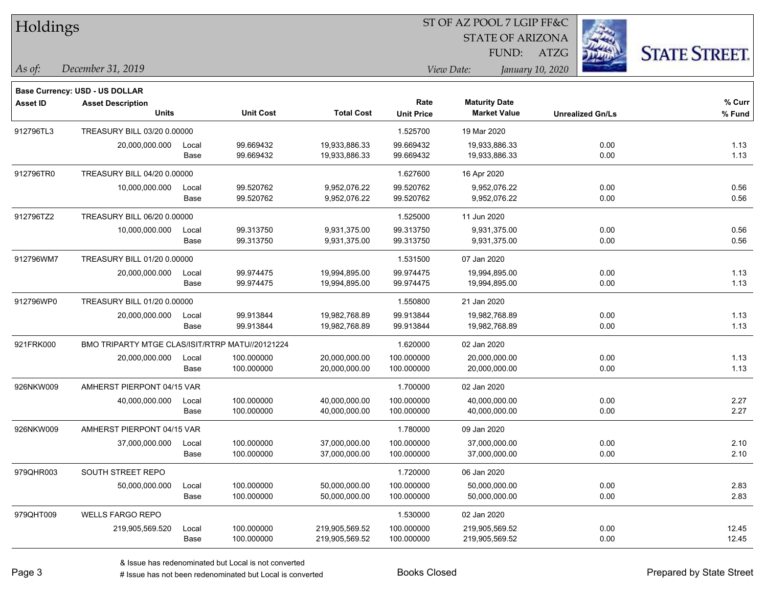| Holdings        |                                                 |       |                  |                   | ST OF AZ POOL 7 LGIP FF&C |                         |                         |                      |
|-----------------|-------------------------------------------------|-------|------------------|-------------------|---------------------------|-------------------------|-------------------------|----------------------|
|                 |                                                 |       |                  |                   |                           | <b>STATE OF ARIZONA</b> |                         |                      |
|                 |                                                 |       |                  |                   |                           | FUND:                   | ATZG                    | <b>STATE STREET.</b> |
| As of:          | December 31, 2019                               |       |                  |                   |                           | View Date:              | January 10, 2020        |                      |
|                 | <b>Base Currency: USD - US DOLLAR</b>           |       |                  |                   |                           |                         |                         |                      |
| <b>Asset ID</b> | <b>Asset Description</b>                        |       |                  |                   | Rate                      | <b>Maturity Date</b>    |                         | % Curr               |
|                 | <b>Units</b>                                    |       | <b>Unit Cost</b> | <b>Total Cost</b> | <b>Unit Price</b>         | <b>Market Value</b>     | <b>Unrealized Gn/Ls</b> | % Fund               |
| 912796TL3       | TREASURY BILL 03/20 0.00000                     |       |                  |                   | 1.525700                  | 19 Mar 2020             |                         |                      |
|                 | 20,000,000.000                                  | Local | 99.669432        | 19,933,886.33     | 99.669432                 | 19,933,886.33           | 0.00                    | 1.13                 |
|                 |                                                 | Base  | 99.669432        | 19,933,886.33     | 99.669432                 | 19,933,886.33           | 0.00                    | 1.13                 |
| 912796TR0       | TREASURY BILL 04/20 0.00000                     |       |                  |                   | 1.627600                  | 16 Apr 2020             |                         |                      |
|                 | 10,000,000.000                                  | Local | 99.520762        | 9,952,076.22      | 99.520762                 | 9,952,076.22            | 0.00                    | 0.56                 |
|                 |                                                 | Base  | 99.520762        | 9,952,076.22      | 99.520762                 | 9,952,076.22            | 0.00                    | 0.56                 |
| 912796TZ2       | TREASURY BILL 06/20 0.00000                     |       |                  |                   | 1.525000                  | 11 Jun 2020             |                         |                      |
|                 | 10,000,000.000                                  | Local | 99.313750        | 9,931,375.00      | 99.313750                 | 9,931,375.00            | 0.00                    | 0.56                 |
|                 |                                                 | Base  | 99.313750        | 9,931,375.00      | 99.313750                 | 9,931,375.00            | 0.00                    | 0.56                 |
| 912796WM7       | TREASURY BILL 01/20 0.00000                     |       |                  |                   | 1.531500                  | 07 Jan 2020             |                         |                      |
|                 | 20,000,000.000                                  | Local | 99.974475        | 19,994,895.00     | 99.974475                 | 19,994,895.00           | 0.00                    | 1.13                 |
|                 |                                                 | Base  | 99.974475        | 19,994,895.00     | 99.974475                 | 19,994,895.00           | 0.00                    | 1.13                 |
| 912796WP0       | TREASURY BILL 01/20 0.00000                     |       |                  |                   | 1.550800                  | 21 Jan 2020             |                         |                      |
|                 | 20,000,000.000                                  | Local | 99.913844        | 19,982,768.89     | 99.913844                 | 19,982,768.89           | 0.00                    | 1.13                 |
|                 |                                                 | Base  | 99.913844        | 19,982,768.89     | 99.913844                 | 19,982,768.89           | 0.00                    | 1.13                 |
| 921FRK000       | BMO TRIPARTY MTGE CLAS/ISIT/RTRP MATU//20121224 |       |                  |                   | 1.620000                  | 02 Jan 2020             |                         |                      |
|                 | 20,000,000.000                                  | Local | 100.000000       | 20,000,000.00     | 100.000000                | 20,000,000.00           | 0.00                    | 1.13                 |
|                 |                                                 | Base  | 100.000000       | 20,000,000.00     | 100.000000                | 20,000,000.00           | 0.00                    | 1.13                 |
| 926NKW009       | AMHERST PIERPONT 04/15 VAR                      |       |                  |                   | 1.700000                  | 02 Jan 2020             |                         |                      |
|                 | 40,000,000.000                                  | Local | 100.000000       | 40,000,000.00     | 100.000000                | 40,000,000.00           | 0.00                    | 2.27                 |
|                 |                                                 | Base  | 100.000000       | 40,000,000.00     | 100.000000                | 40,000,000.00           | 0.00                    | 2.27                 |
| 926NKW009       | AMHERST PIERPONT 04/15 VAR                      |       |                  |                   | 1.780000                  | 09 Jan 2020             |                         |                      |
|                 | 37,000,000.000                                  | Local | 100.000000       | 37,000,000.00     | 100.000000                | 37,000,000.00           | 0.00                    | 2.10                 |
|                 |                                                 | Base  | 100.000000       | 37,000,000.00     | 100.000000                | 37,000,000.00           | 0.00                    | 2.10                 |
| 979QHR003       | SOUTH STREET REPO                               |       |                  |                   | 1.720000                  | 06 Jan 2020             |                         |                      |
|                 | 50,000,000.000                                  | Local | 100.000000       | 50,000,000.00     | 100.000000                | 50,000,000.00           | 0.00                    | 2.83                 |
|                 |                                                 | Base  | 100.000000       | 50,000,000.00     | 100.000000                | 50,000,000.00           | 0.00                    | 2.83                 |
| 979QHT009       | <b>WELLS FARGO REPO</b>                         |       |                  |                   | 1.530000                  | 02 Jan 2020             |                         |                      |
|                 | 219,905,569.520                                 | Local | 100.000000       | 219,905,569.52    | 100.000000                | 219,905,569.52          | 0.00                    | 12.45                |
|                 |                                                 | Base  | 100.000000       | 219,905,569.52    | 100.000000                | 219,905,569.52          | 0.00                    | 12.45                |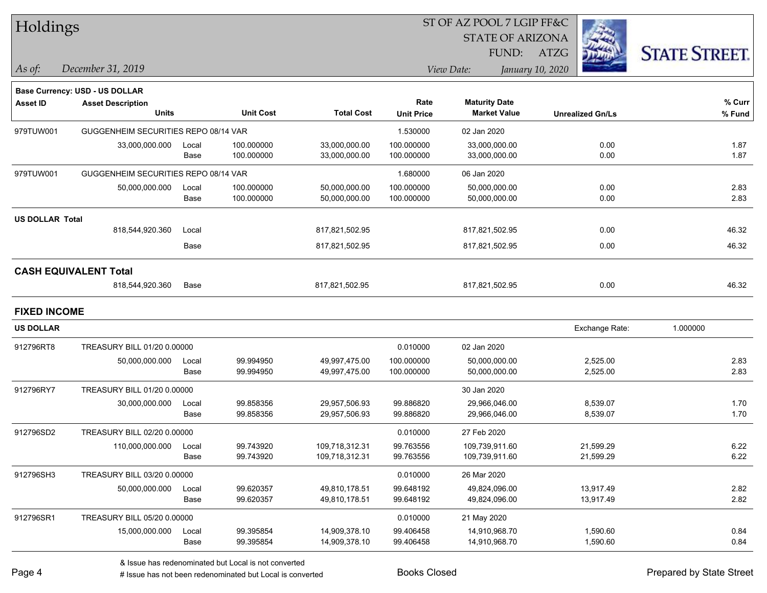| Holdings        |                                          |               |                    |
|-----------------|------------------------------------------|---------------|--------------------|
| As of:          | December 31, 2019                        |               |                    |
|                 | <b>Base Currency: USD - US DOLLAR</b>    |               |                    |
| <b>Asset ID</b> | <b>Asset Description</b><br><b>Units</b> |               | Unit 0             |
| 979TUW001       | GUGGENHEIM SECURITIES REPO 08/14 VAR     |               |                    |
|                 | 33,000,000.000                           | Local<br>Base | 100.000<br>100.000 |
| 979TUW001       | GUGGENHEIM SECURITIES REPO 08/14 VAR     |               |                    |
|                 | 50,000,000.000                           | Local<br>Base | 100.000<br>100.000 |

#### ST OF AZ POOL 7 LGIP FF&C

STATE OF ARIZONA

FUND: ATZG



*As of: View Date: January 10, 2020*

| <b>Asset ID</b>        | <b>Asset Description</b><br><b>Units</b> |               | <b>Unit Cost</b>         | <b>Total Cost</b>              | Rate<br><b>Unit Price</b> | <b>Maturity Date</b><br><b>Market Value</b> | <b>Unrealized Gn/Ls</b> | $%$ Curr<br>% Fund |
|------------------------|------------------------------------------|---------------|--------------------------|--------------------------------|---------------------------|---------------------------------------------|-------------------------|--------------------|
| 979TUW001              | GUGGENHEIM SECURITIES REPO 08/14 VAR     |               |                          |                                | 1.530000                  | 02 Jan 2020                                 |                         |                    |
|                        | 33,000,000.000                           | Local<br>Base | 100.000000<br>100.000000 | 33,000,000.00<br>33,000,000.00 | 100.000000<br>100.000000  | 33,000,000.00<br>33,000,000.00              | 0.00<br>0.00            | 1.87<br>1.87       |
| 979TUW001              | GUGGENHEIM SECURITIES REPO 08/14 VAR     |               |                          |                                | 1.680000                  | 06 Jan 2020                                 |                         |                    |
|                        | 50,000,000.000                           | Local<br>Base | 100.000000<br>100.000000 | 50,000,000.00<br>50,000,000.00 | 100.000000<br>100.000000  | 50,000,000.00<br>50,000,000.00              | 0.00<br>0.00            | 2.83<br>2.83       |
| <b>US DOLLAR Total</b> |                                          |               |                          |                                |                           |                                             |                         |                    |
|                        | 818,544,920.360                          | Local         |                          | 817,821,502.95                 |                           | 817,821,502.95                              | 0.00                    | 46.32              |
|                        |                                          | Base          |                          | 817,821,502.95                 |                           | 817,821,502.95                              | 0.00                    | 46.32              |
|                        | <b>CASH EQUIVALENT Total</b>             |               |                          |                                |                           |                                             |                         |                    |
|                        | 818,544,920.360                          | Base          |                          | 817,821,502.95                 |                           | 817,821,502.95                              | 0.00                    | 46.32              |
| <b>FIXED INCOME</b>    |                                          |               |                          |                                |                           |                                             |                         |                    |
| <b>US DOLLAR</b>       |                                          |               |                          |                                |                           |                                             | Exchange Rate:          | 1.000000           |
| 912796RT8              | TREASURY BILL 01/20 0.00000              |               |                          |                                | 0.010000                  | 02 Jan 2020                                 |                         |                    |
|                        | 50,000,000.000                           | Local<br>Base | 99.994950<br>99.994950   | 49,997,475.00<br>49,997,475.00 | 100.000000<br>100.000000  | 50,000,000.00<br>50,000,000.00              | 2,525.00<br>2,525.00    | 2.83<br>2.83       |
| 912796RY7              | TREASURY BILL 01/20 0.00000              |               |                          |                                |                           | 30 Jan 2020                                 |                         |                    |
|                        | 30,000,000.000                           | Local<br>Base | 99.858356<br>99.858356   | 29,957,506.93<br>29,957,506.93 | 99.886820<br>99.886820    | 29,966,046.00<br>29,966,046.00              | 8,539.07<br>8,539.07    | 1.70<br>1.70       |
| 912796SD2              | TREASURY BILL 02/20 0.00000              |               |                          |                                | 0.010000                  | 27 Feb 2020                                 |                         |                    |
|                        |                                          |               | $00 - 10000$             | $100 - 10001001$               | $00 - 000 - 00$           | $100 - 200 - 211 - 20$                      | $0.1$ $0.000$           | $\sim$ $\sim$      |

|           | 110,000,000.000             | Local<br>Base | 99.743920<br>99.743920 | 109,718,312.31<br>109,718,312.31 | 99.763556<br>99.763556 | 109,739,911.60<br>109,739,911.60 | 21,599.29<br>21,599.29 | 6.22<br>6.22 |
|-----------|-----------------------------|---------------|------------------------|----------------------------------|------------------------|----------------------------------|------------------------|--------------|
| 912796SH3 | TREASURY BILL 03/20 0.00000 |               |                        |                                  | 0.010000               | 26 Mar 2020                      |                        |              |
|           | 50,000,000.000              | Local<br>Base | 99.620357<br>99.620357 | 49,810,178.51<br>49,810,178.51   | 99.648192<br>99.648192 | 49,824,096.00<br>49,824,096.00   | 13,917.49<br>13,917.49 | 2.82<br>2.82 |
| 912796SR1 | TREASURY BILL 05/20 0.00000 |               |                        |                                  | 0.010000               | 21 May 2020                      |                        |              |
|           | 15,000,000.000              | Local<br>Base | 99.395854<br>99.395854 | 14,909,378.10<br>14,909,378.10   | 99.406458<br>99.406458 | 14.910.968.70<br>14,910,968.70   | 1.590.60<br>1,590.60   | 0.84<br>0.84 |
|           |                             |               |                        |                                  |                        |                                  |                        |              |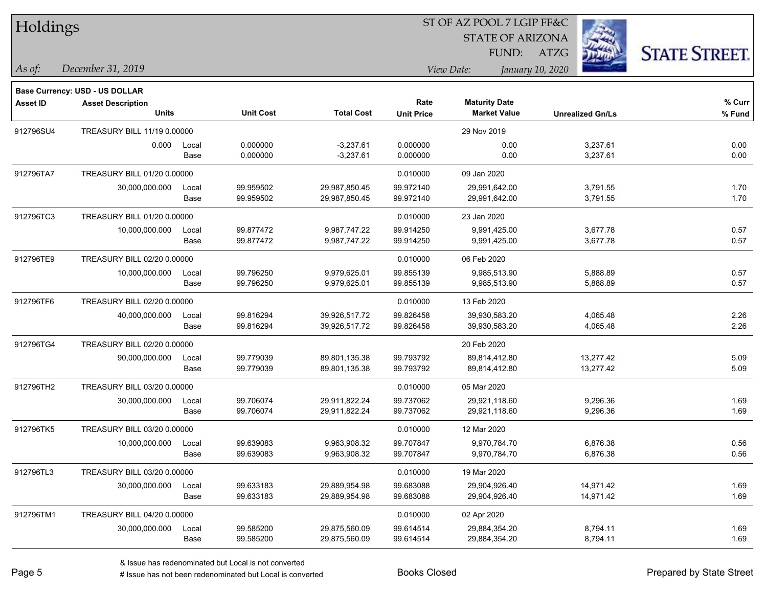| Holdings |  |
|----------|--|
|----------|--|

#### ST OF AZ POOL 7 LGIP FF&C

STATE OF ARIZONA

FUND: ATZG



**Base Currency: USD - US DOLLAR**

*December 31, 2019 As of: View Date: January 10, 2020*

| Asset ID  | <b>Asset Description</b>    |                             |                  |                   | Rate              | <b>Maturity Date</b> |                         | % Curr |
|-----------|-----------------------------|-----------------------------|------------------|-------------------|-------------------|----------------------|-------------------------|--------|
|           | <b>Units</b>                |                             | <b>Unit Cost</b> | <b>Total Cost</b> | <b>Unit Price</b> | <b>Market Value</b>  | <b>Unrealized Gn/Ls</b> | % Fund |
| 912796SU4 |                             | TREASURY BILL 11/19 0.00000 |                  |                   |                   | 29 Nov 2019          |                         |        |
|           | 0.000                       | Local                       | 0.000000         | $-3,237.61$       | 0.000000          | 0.00                 | 3,237.61                | 0.00   |
|           |                             | Base                        | 0.000000         | $-3,237.61$       | 0.000000          | 0.00                 | 3,237.61                | 0.00   |
| 912796TA7 | TREASURY BILL 01/20 0.00000 |                             |                  |                   | 0.010000          | 09 Jan 2020          |                         |        |
|           | 30,000,000.000              | Local                       | 99.959502        | 29,987,850.45     | 99.972140         | 29,991,642.00        | 3,791.55                | 1.70   |
|           |                             | Base                        | 99.959502        | 29,987,850.45     | 99.972140         | 29,991,642.00        | 3,791.55                | 1.70   |
| 912796TC3 | TREASURY BILL 01/20 0.00000 |                             |                  |                   | 0.010000          | 23 Jan 2020          |                         |        |
|           | 10,000,000.000              | Local                       | 99.877472        | 9,987,747.22      | 99.914250         | 9,991,425.00         | 3,677.78                | 0.57   |
|           |                             | Base                        | 99.877472        | 9,987,747.22      | 99.914250         | 9,991,425.00         | 3,677.78                | 0.57   |
| 912796TE9 | TREASURY BILL 02/20 0.00000 |                             |                  |                   | 0.010000          | 06 Feb 2020          |                         |        |
|           | 10,000,000.000              | Local                       | 99.796250        | 9,979,625.01      | 99.855139         | 9,985,513.90         | 5,888.89                | 0.57   |
|           |                             | Base                        | 99.796250        | 9,979,625.01      | 99.855139         | 9,985,513.90         | 5,888.89                | 0.57   |
| 912796TF6 | TREASURY BILL 02/20 0.00000 |                             |                  |                   | 0.010000          | 13 Feb 2020          |                         |        |
|           | 40,000,000.000              | Local                       | 99.816294        | 39,926,517.72     | 99.826458         | 39,930,583.20        | 4,065.48                | 2.26   |
|           |                             | Base                        | 99.816294        | 39,926,517.72     | 99.826458         | 39,930,583.20        | 4,065.48                | 2.26   |
| 912796TG4 | TREASURY BILL 02/20 0.00000 |                             |                  |                   |                   | 20 Feb 2020          |                         |        |
|           | 90,000,000.000              | Local                       | 99.779039        | 89,801,135.38     | 99.793792         | 89,814,412.80        | 13,277.42               | 5.09   |
|           |                             | Base                        | 99.779039        | 89,801,135.38     | 99.793792         | 89,814,412.80        | 13,277.42               | 5.09   |
| 912796TH2 | TREASURY BILL 03/20 0.00000 |                             |                  |                   | 0.010000          | 05 Mar 2020          |                         |        |
|           | 30,000,000.000              | Local                       | 99.706074        | 29,911,822.24     | 99.737062         | 29,921,118.60        | 9,296.36                | 1.69   |
|           |                             | Base                        | 99.706074        | 29,911,822.24     | 99.737062         | 29,921,118.60        | 9,296.36                | 1.69   |
| 912796TK5 | TREASURY BILL 03/20 0.00000 |                             |                  |                   | 0.010000          | 12 Mar 2020          |                         |        |
|           | 10,000,000.000              | Local                       | 99.639083        | 9,963,908.32      | 99.707847         | 9,970,784.70         | 6,876.38                | 0.56   |
|           |                             | Base                        | 99.639083        | 9,963,908.32      | 99.707847         | 9,970,784.70         | 6,876.38                | 0.56   |
| 912796TL3 | TREASURY BILL 03/20 0.00000 |                             |                  |                   | 0.010000          | 19 Mar 2020          |                         |        |
|           | 30,000,000.000              | Local                       | 99.633183        | 29,889,954.98     | 99.683088         | 29,904,926.40        | 14,971.42               | 1.69   |
|           |                             | Base                        | 99.633183        | 29,889,954.98     | 99.683088         | 29,904,926.40        | 14,971.42               | 1.69   |
| 912796TM1 | TREASURY BILL 04/20 0.00000 |                             |                  |                   | 0.010000          | 02 Apr 2020          |                         |        |
|           | 30,000,000.000              | Local                       | 99.585200        | 29,875,560.09     | 99.614514         | 29,884,354.20        | 8,794.11                | 1.69   |
|           |                             | Base                        | 99.585200        | 29,875,560.09     | 99.614514         | 29,884,354.20        | 8,794.11                | 1.69   |

A ISSUE ISSUE ISSUE ISSUE ISSUE ISSUE ISSUE ISSUE ISSUE ISSUE ISSUE ISSUE ISSUE ISSUE ISSUE ISSUE ISSUE ISSUE I<br>
# Issue has not been redenominated but Local is converted **BOOKS** Closed **Prepared by State Street**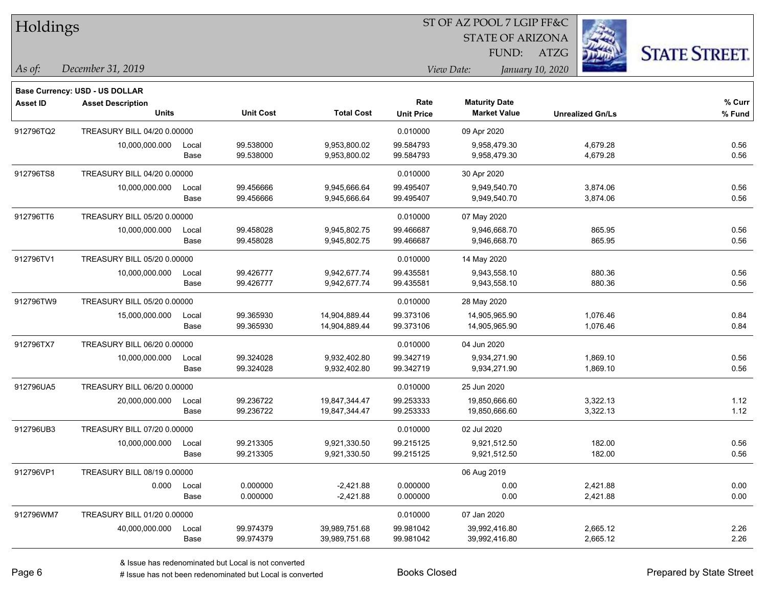| Holdings  |                                       |       |                  |                   |                   | 51 OF AZ POOL 7 LGIP FF&C |                         |                      |
|-----------|---------------------------------------|-------|------------------|-------------------|-------------------|---------------------------|-------------------------|----------------------|
|           |                                       |       |                  |                   |                   | <b>STATE OF ARIZONA</b>   |                         |                      |
|           |                                       |       |                  |                   |                   | FUND:                     | ATZG                    | <b>STATE STREET.</b> |
| As of:    | December 31, 2019                     |       |                  |                   |                   | View Date:                | January 10, 2020        |                      |
|           | <b>Base Currency: USD - US DOLLAR</b> |       |                  |                   |                   |                           |                         |                      |
| Asset ID  | <b>Asset Description</b>              |       |                  |                   | Rate              | <b>Maturity Date</b>      |                         | % Curr               |
|           | <b>Units</b>                          |       | <b>Unit Cost</b> | <b>Total Cost</b> | <b>Unit Price</b> | <b>Market Value</b>       | <b>Unrealized Gn/Ls</b> | % Fund               |
| 912796TQ2 | TREASURY BILL 04/20 0.00000           |       |                  |                   | 0.010000          | 09 Apr 2020               |                         |                      |
|           | 10,000,000.000                        | Local | 99.538000        | 9,953,800.02      | 99.584793         | 9,958,479.30              | 4,679.28                | 0.56                 |
|           |                                       | Base  | 99.538000        | 9,953,800.02      | 99.584793         | 9,958,479.30              | 4,679.28                | 0.56                 |
| 912796TS8 | TREASURY BILL 04/20 0.00000           |       |                  |                   | 0.010000          | 30 Apr 2020               |                         |                      |
|           | 10,000,000.000                        | Local | 99.456666        | 9,945,666.64      | 99.495407         | 9,949,540.70              | 3,874.06                | 0.56                 |
|           |                                       | Base  | 99.456666        | 9,945,666.64      | 99.495407         | 9,949,540.70              | 3,874.06                | 0.56                 |
| 912796TT6 | TREASURY BILL 05/20 0.00000           |       |                  |                   | 0.010000          | 07 May 2020               |                         |                      |
|           | 10,000,000.000                        | Local | 99.458028        | 9,945,802.75      | 99.466687         | 9,946,668.70              | 865.95                  | 0.56                 |
|           |                                       | Base  | 99.458028        | 9,945,802.75      | 99.466687         | 9,946,668.70              | 865.95                  | 0.56                 |
| 912796TV1 | TREASURY BILL 05/20 0.00000           |       |                  |                   | 0.010000          | 14 May 2020               |                         |                      |
|           | 10,000,000.000                        | Local | 99.426777        | 9,942,677.74      | 99.435581         | 9,943,558.10              | 880.36                  | 0.56                 |
|           |                                       | Base  | 99.426777        | 9,942,677.74      | 99.435581         | 9,943,558.10              | 880.36                  | 0.56                 |
| 912796TW9 | TREASURY BILL 05/20 0.00000           |       |                  |                   | 0.010000          | 28 May 2020               |                         |                      |
|           | 15,000,000.000                        | Local | 99.365930        | 14,904,889.44     | 99.373106         | 14,905,965.90             | 1,076.46                | 0.84                 |
|           |                                       | Base  | 99.365930        | 14,904,889.44     | 99.373106         | 14,905,965.90             | 1,076.46                | 0.84                 |
| 912796TX7 | TREASURY BILL 06/20 0.00000           |       |                  |                   | 0.010000          | 04 Jun 2020               |                         |                      |
|           | 10,000,000.000                        | Local | 99.324028        | 9,932,402.80      | 99.342719         | 9,934,271.90              | 1,869.10                | 0.56                 |
|           |                                       | Base  | 99.324028        | 9,932,402.80      | 99.342719         | 9,934,271.90              | 1,869.10                | 0.56                 |
| 912796UA5 | TREASURY BILL 06/20 0.00000           |       |                  |                   | 0.010000          | 25 Jun 2020               |                         |                      |
|           | 20,000,000.000                        | Local | 99.236722        | 19,847,344.47     | 99.253333         | 19,850,666.60             | 3,322.13                | 1.12                 |
|           |                                       | Base  | 99.236722        | 19,847,344.47     | 99.253333         | 19,850,666.60             | 3,322.13                | 1.12                 |
| 912796UB3 | TREASURY BILL 07/20 0.00000           |       |                  |                   | 0.010000          | 02 Jul 2020               |                         |                      |
|           | 10,000,000.000                        | Local | 99.213305        | 9,921,330.50      | 99.215125         | 9,921,512.50              | 182.00                  | 0.56                 |
|           |                                       | Base  | 99.213305        | 9,921,330.50      | 99.215125         | 9,921,512.50              | 182.00                  | 0.56                 |
| 912796VP1 | TREASURY BILL 08/19 0.00000           |       |                  |                   |                   | 06 Aug 2019               |                         |                      |
|           | 0.000                                 | Local | 0.000000         | $-2,421.88$       | 0.000000          | 0.00                      | 2,421.88                | 0.00                 |
|           |                                       | Base  | 0.000000         | $-2,421.88$       | 0.000000          | 0.00                      | 2,421.88                | 0.00                 |
| 912796WM7 | TREASURY BILL 01/20 0.00000           |       |                  |                   | 0.010000          | 07 Jan 2020               |                         |                      |
|           | 40,000,000.000                        | Local | 99.974379        | 39,989,751.68     | 99.981042         | 39,992,416.80             | 2,665.12                | 2.26                 |
|           |                                       | Base  | 99.974379        | 39,989,751.68     | 99.981042         | 39,992,416.80             | 2,665.12                | 2.26                 |

 $\overline{\text{SD} + \text{F} \text{DO} \text{O} \text{F} + \text{F} \text{O} \text{O} \text{F}}$ 

denote the redenominated but Local is converted Books Closed Prepared by State Street

٦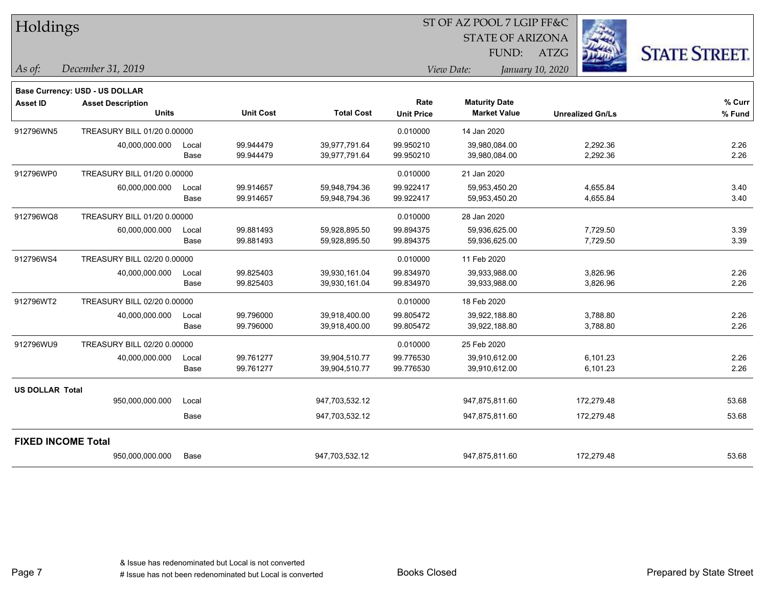| Holdings               |                                |       |                  |                   |                   | ST OF AZ POOL 7 LGIP FF&C |                         |                      |  |
|------------------------|--------------------------------|-------|------------------|-------------------|-------------------|---------------------------|-------------------------|----------------------|--|
|                        |                                |       |                  |                   |                   | <b>STATE OF ARIZONA</b>   |                         |                      |  |
|                        |                                |       |                  |                   |                   | FUND:                     | ATZG                    | <b>STATE STREET.</b> |  |
| As of:                 | December 31, 2019              |       |                  |                   |                   | View Date:                | January 10, 2020        |                      |  |
|                        | Base Currency: USD - US DOLLAR |       |                  |                   |                   |                           |                         |                      |  |
| <b>Asset ID</b>        | <b>Asset Description</b>       |       |                  |                   | Rate              | <b>Maturity Date</b>      |                         | % Curr               |  |
|                        | <b>Units</b>                   |       | <b>Unit Cost</b> | <b>Total Cost</b> | <b>Unit Price</b> | <b>Market Value</b>       | <b>Unrealized Gn/Ls</b> | % Fund               |  |
| 912796WN5              | TREASURY BILL 01/20 0.00000    |       |                  |                   | 0.010000          | 14 Jan 2020               |                         |                      |  |
|                        | 40,000,000.000                 | Local | 99.944479        | 39,977,791.64     | 99.950210         | 39,980,084.00             | 2,292.36                | 2.26                 |  |
|                        |                                | Base  | 99.944479        | 39,977,791.64     | 99.950210         | 39,980,084.00             | 2,292.36                | 2.26                 |  |
| 912796WP0              | TREASURY BILL 01/20 0.00000    |       |                  |                   | 0.010000          | 21 Jan 2020               |                         |                      |  |
|                        | 60,000,000.000                 | Local | 99.914657        | 59,948,794.36     | 99.922417         | 59,953,450.20             | 4,655.84                | 3.40                 |  |
|                        |                                | Base  | 99.914657        | 59,948,794.36     | 99.922417         | 59,953,450.20             | 4,655.84                | 3.40                 |  |
| 912796WQ8              | TREASURY BILL 01/20 0.00000    |       |                  |                   | 0.010000          | 28 Jan 2020               |                         |                      |  |
|                        | 60,000,000.000                 | Local | 99.881493        | 59,928,895.50     | 99.894375         | 59,936,625.00             | 7,729.50                | 3.39                 |  |
|                        |                                | Base  | 99.881493        | 59,928,895.50     | 99.894375         | 59,936,625.00             | 7,729.50                | 3.39                 |  |
| 912796WS4              | TREASURY BILL 02/20 0.00000    |       |                  |                   | 0.010000          | 11 Feb 2020               |                         |                      |  |
|                        | 40,000,000.000                 | Local | 99.825403        | 39,930,161.04     | 99.834970         | 39,933,988.00             | 3,826.96                | 2.26                 |  |
|                        |                                | Base  | 99.825403        | 39,930,161.04     | 99.834970         | 39,933,988.00             | 3,826.96                | 2.26                 |  |
| 912796WT2              | TREASURY BILL 02/20 0.00000    |       |                  |                   | 0.010000          | 18 Feb 2020               |                         |                      |  |
|                        | 40,000,000.000                 | Local | 99.796000        | 39,918,400.00     | 99.805472         | 39,922,188.80             | 3,788.80                | 2.26                 |  |
|                        |                                | Base  | 99.796000        | 39,918,400.00     | 99.805472         | 39,922,188.80             | 3,788.80                | 2.26                 |  |
| 912796WU9              | TREASURY BILL 02/20 0.00000    |       |                  |                   | 0.010000          | 25 Feb 2020               |                         |                      |  |
|                        | 40,000,000.000                 | Local | 99.761277        | 39,904,510.77     | 99.776530         | 39,910,612.00             | 6,101.23                | 2.26                 |  |
|                        |                                | Base  | 99.761277        | 39,904,510.77     | 99.776530         | 39,910,612.00             | 6,101.23                | 2.26                 |  |
| <b>US DOLLAR Total</b> |                                |       |                  |                   |                   |                           |                         |                      |  |
|                        | 950,000,000.000                | Local |                  | 947,703,532.12    |                   | 947,875,811.60            | 172,279.48              | 53.68                |  |
|                        |                                | Base  |                  | 947,703,532.12    |                   | 947,875,811.60            | 172,279.48              | 53.68                |  |
|                        | <b>FIXED INCOME Total</b>      |       |                  |                   |                   |                           |                         |                      |  |
|                        | 950,000,000.000                | Base  |                  | 947,703,532.12    |                   | 947,875,811.60            | 172,279.48              | 53.68                |  |

٦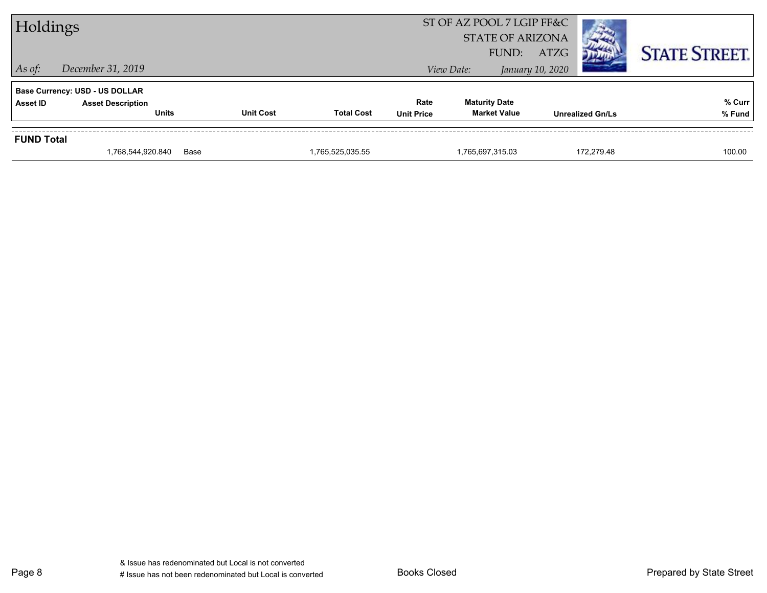| Holdings          |                                          |                  |                   |                           | ST OF AZ POOL 7 LGIP FF&C<br><b>STATE OF ARIZONA</b><br>FUND: | ATZG                    |            | <b>STATE STREET.</b> |
|-------------------|------------------------------------------|------------------|-------------------|---------------------------|---------------------------------------------------------------|-------------------------|------------|----------------------|
| $\vert$ As of:    | December 31, 2019                        |                  |                   |                           | View Date:                                                    | January 10, 2020        |            |                      |
|                   | <b>Base Currency: USD - US DOLLAR</b>    |                  |                   |                           |                                                               |                         |            |                      |
| <b>Asset ID</b>   | <b>Asset Description</b><br><b>Units</b> | <b>Unit Cost</b> | <b>Total Cost</b> | Rate<br><b>Unit Price</b> | <b>Maturity Date</b><br><b>Market Value</b>                   | <b>Unrealized Gn/Ls</b> |            | % Curr<br>% Fund     |
|                   |                                          |                  |                   |                           |                                                               |                         |            |                      |
| <b>FUND Total</b> |                                          |                  |                   |                           |                                                               |                         |            |                      |
|                   | 1,768,544,920.840                        | Base             | 1,765,525,035.55  |                           | 1,765,697,315.03                                              |                         | 172.279.48 | 100.00               |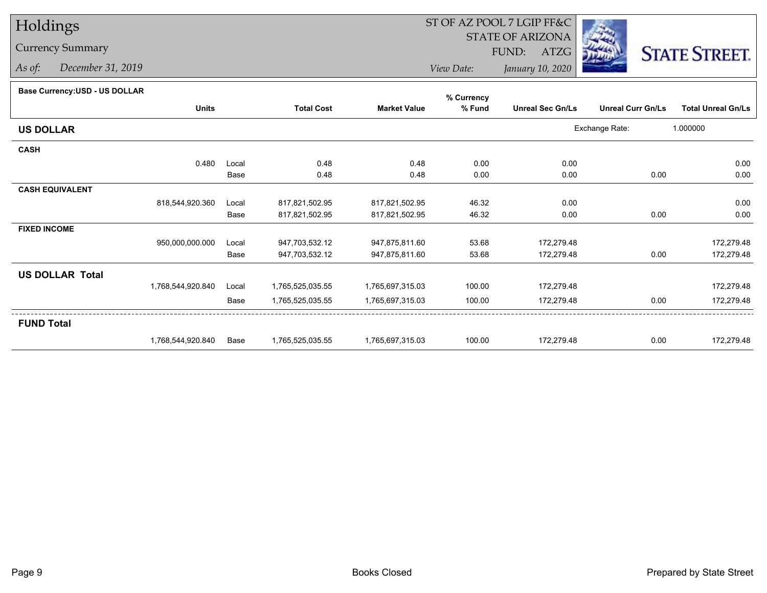# Holdings

### Currency Summary

*As of: December 31, 2019*

## ST OF AZ POOL 7 LGIP FF&C

STATE OF ARIZONA

FUND: ATZG



*View Date:January 10, 2020*

#### **Base Currency:USD - US DOLLAR**

|                        |                   |       |                   |                     | % Currency |                         |                          |                           |
|------------------------|-------------------|-------|-------------------|---------------------|------------|-------------------------|--------------------------|---------------------------|
|                        | <b>Units</b>      |       | <b>Total Cost</b> | <b>Market Value</b> | % Fund     | <b>Unreal Sec Gn/Ls</b> | <b>Unreal Curr Gn/Ls</b> | <b>Total Unreal Gn/Ls</b> |
| <b>US DOLLAR</b>       |                   |       |                   |                     |            |                         | Exchange Rate:           | 1.000000                  |
| <b>CASH</b>            |                   |       |                   |                     |            |                         |                          |                           |
|                        | 0.480             | Local | 0.48              | 0.48                | 0.00       | 0.00                    |                          | 0.00                      |
|                        |                   | Base  | 0.48              | 0.48                | 0.00       | 0.00                    | 0.00                     | 0.00                      |
| <b>CASH EQUIVALENT</b> |                   |       |                   |                     |            |                         |                          |                           |
|                        | 818,544,920.360   | Local | 817,821,502.95    | 817,821,502.95      | 46.32      | 0.00                    |                          | 0.00                      |
|                        |                   | Base  | 817,821,502.95    | 817,821,502.95      | 46.32      | 0.00                    | 0.00                     | 0.00                      |
| <b>FIXED INCOME</b>    |                   |       |                   |                     |            |                         |                          |                           |
|                        | 950,000,000.000   | Local | 947,703,532.12    | 947,875,811.60      | 53.68      | 172,279.48              |                          | 172,279.48                |
|                        |                   | Base  | 947,703,532.12    | 947,875,811.60      | 53.68      | 172,279.48              | 0.00                     | 172,279.48                |
| <b>US DOLLAR Total</b> |                   |       |                   |                     |            |                         |                          |                           |
|                        | 1,768,544,920.840 | Local | 1,765,525,035.55  | 1,765,697,315.03    | 100.00     | 172,279.48              |                          | 172,279.48                |
|                        |                   | Base  | 1,765,525,035.55  | 1,765,697,315.03    | 100.00     | 172,279.48              | 0.00                     | 172,279.48                |
| <b>FUND Total</b>      |                   |       |                   |                     |            |                         |                          |                           |
|                        | 1,768,544,920.840 | Base  | 1,765,525,035.55  | 1,765,697,315.03    | 100.00     | 172,279.48              | 0.00                     | 172,279.48                |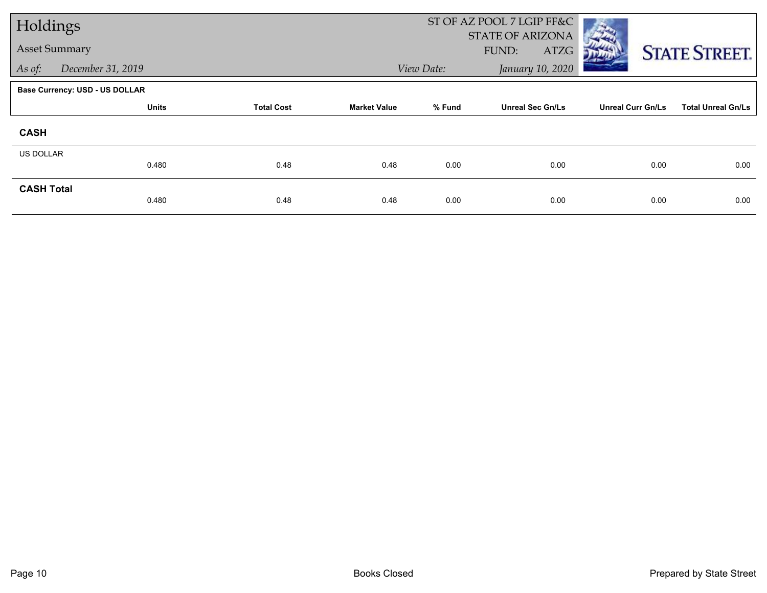| Holdings          |                                       |                   |                     |            | ST OF AZ POOL 7 LGIP FF&C<br><b>STATE OF ARIZONA</b> |                          |                           |
|-------------------|---------------------------------------|-------------------|---------------------|------------|------------------------------------------------------|--------------------------|---------------------------|
|                   | <b>Asset Summary</b>                  |                   |                     |            | FUND:<br>ATZG                                        |                          | <b>STATE STREET.</b>      |
| As of:            | December 31, 2019                     |                   |                     | View Date: | January 10, 2020                                     |                          |                           |
|                   | <b>Base Currency: USD - US DOLLAR</b> |                   |                     |            |                                                      |                          |                           |
|                   | <b>Units</b>                          | <b>Total Cost</b> | <b>Market Value</b> | % Fund     | <b>Unreal Sec Gn/Ls</b>                              | <b>Unreal Curr Gn/Ls</b> | <b>Total Unreal Gn/Ls</b> |
| <b>CASH</b>       |                                       |                   |                     |            |                                                      |                          |                           |
| <b>US DOLLAR</b>  |                                       |                   |                     |            |                                                      |                          |                           |
|                   | 0.480                                 | 0.48              | 0.48                | 0.00       | 0.00                                                 | 0.00                     | 0.00                      |
| <b>CASH Total</b> | 0.480                                 | 0.48              | 0.48                | 0.00       | 0.00                                                 | 0.00                     | 0.00                      |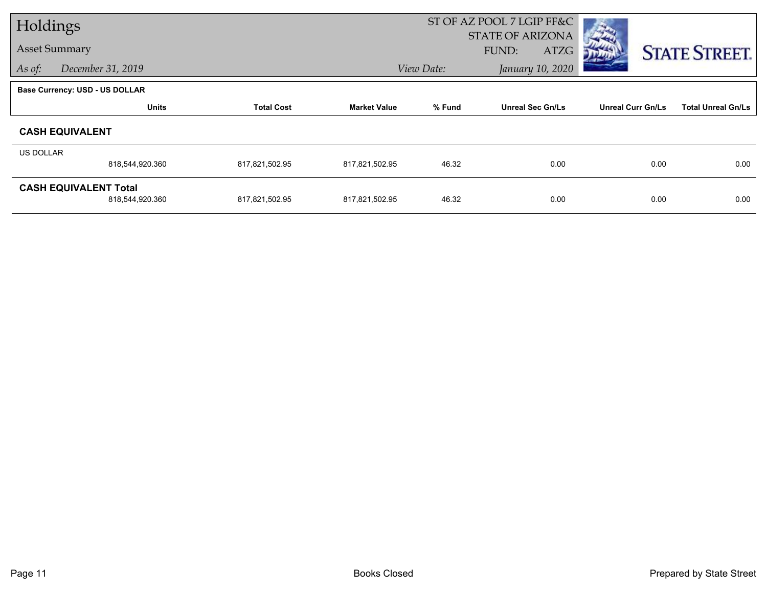| Holdings             |                                       |                   |                     |                                          | ST OF AZ POOL 7 LGIP FF&C |                          |                           |
|----------------------|---------------------------------------|-------------------|---------------------|------------------------------------------|---------------------------|--------------------------|---------------------------|
| <b>Asset Summary</b> |                                       |                   |                     | <b>STATE OF ARIZONA</b><br>FUND:<br>ATZG |                           | <b>STATE STREET.</b>     |                           |
| As of:               | December 31, 2019                     |                   |                     | View Date:                               | January 10, 2020          |                          |                           |
|                      | <b>Base Currency: USD - US DOLLAR</b> |                   |                     |                                          |                           |                          |                           |
|                      | <b>Units</b>                          | <b>Total Cost</b> | <b>Market Value</b> | % Fund                                   | <b>Unreal Sec Gn/Ls</b>   | <b>Unreal Curr Gn/Ls</b> | <b>Total Unreal Gn/Ls</b> |
|                      | <b>CASH EQUIVALENT</b>                |                   |                     |                                          |                           |                          |                           |
| US DOLLAR            |                                       |                   |                     |                                          |                           |                          |                           |
|                      | 818,544,920.360                       | 817,821,502.95    | 817,821,502.95      | 46.32                                    | 0.00                      | 0.00                     | 0.00                      |
|                      | <b>CASH EQUIVALENT Total</b>          |                   |                     |                                          |                           |                          |                           |
|                      | 818,544,920.360                       | 817,821,502.95    | 817,821,502.95      | 46.32                                    | 0.00                      | 0.00                     | 0.00                      |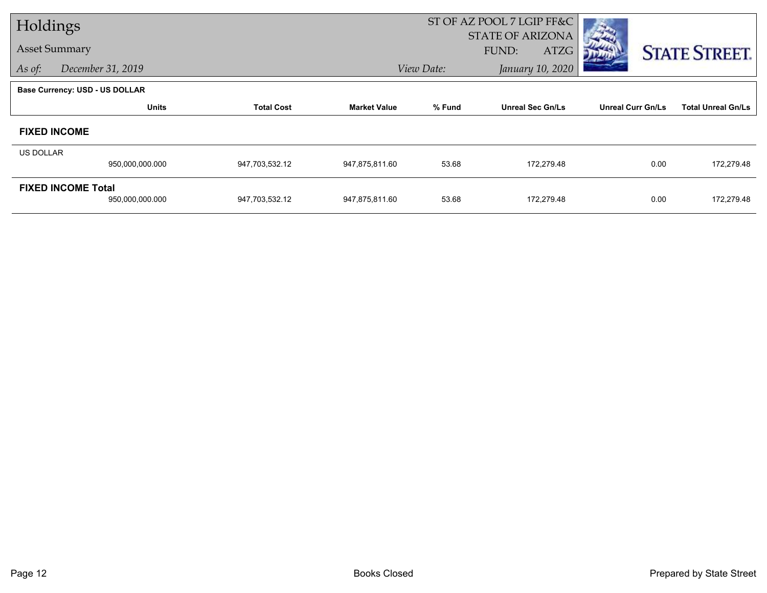| Holdings                    |                                              |                   |                     | ST OF AZ POOL 7 LGIP FF&C |                                          |                          |                           |
|-----------------------------|----------------------------------------------|-------------------|---------------------|---------------------------|------------------------------------------|--------------------------|---------------------------|
| <b>Asset Summary</b>        |                                              |                   |                     |                           | <b>STATE OF ARIZONA</b><br>ATZG<br>FUND: |                          | <b>STATE STREET.</b>      |
| December 31, 2019<br>As of: |                                              |                   |                     | View Date:                | January 10, 2020                         |                          |                           |
|                             | <b>Base Currency: USD - US DOLLAR</b>        |                   |                     |                           |                                          |                          |                           |
|                             | <b>Units</b>                                 | <b>Total Cost</b> | <b>Market Value</b> | % Fund                    | <b>Unreal Sec Gn/Ls</b>                  | <b>Unreal Curr Gn/Ls</b> | <b>Total Unreal Gn/Ls</b> |
| <b>FIXED INCOME</b>         |                                              |                   |                     |                           |                                          |                          |                           |
| <b>US DOLLAR</b>            | 950,000,000.000                              | 947,703,532.12    | 947,875,811.60      | 53.68                     | 172,279.48                               | 0.00                     | 172,279.48                |
|                             |                                              |                   |                     |                           |                                          |                          |                           |
|                             | <b>FIXED INCOME Total</b><br>950,000,000.000 | 947,703,532.12    | 947,875,811.60      | 53.68                     | 172,279.48                               | 0.00                     | 172,279.48                |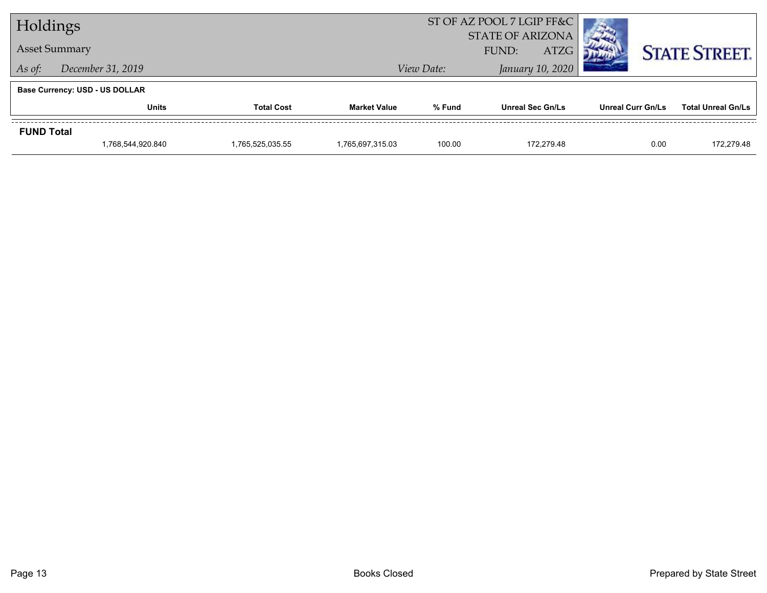| Holdings                          |                                       |                     | ST OF AZ POOL 7 LGIP FF&C |                                                 |                          |                           |                      |
|-----------------------------------|---------------------------------------|---------------------|---------------------------|-------------------------------------------------|--------------------------|---------------------------|----------------------|
| <b>Asset Summary</b>              |                                       |                     |                           | <b>STATE OF ARIZONA</b><br><b>ATZG</b><br>FUND: |                          |                           | <b>STATE STREET.</b> |
| December 31, 2019<br>As of:       |                                       |                     |                           | View Date:                                      |                          |                           |                      |
|                                   | <b>Base Currency: USD - US DOLLAR</b> |                     |                           |                                                 |                          |                           |                      |
| <b>Units</b><br><b>Total Cost</b> |                                       | <b>Market Value</b> | % Fund                    | <b>Unreal Sec Gn/Ls</b>                         | <b>Unreal Curr Gn/Ls</b> | <b>Total Unreal Gn/Ls</b> |                      |
| <b>FUND Total</b>                 |                                       |                     |                           |                                                 |                          |                           |                      |
|                                   | 1,768,544,920.840                     | 1.765.525.035.55    | 1.765.697.315.03          | 100.00                                          | 172.279.48               | 0.00                      | 172.279.48           |